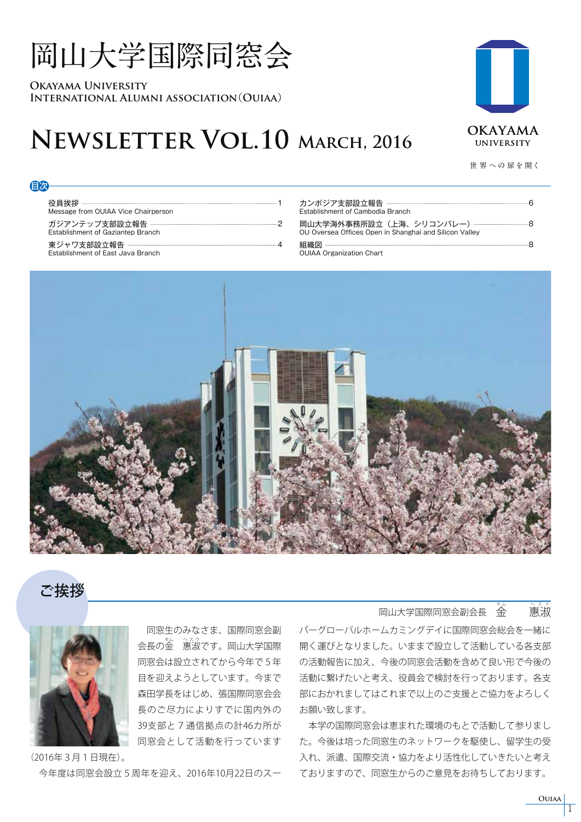# **岡山大学国際同窓会**

**Okayama University International Alumni association**(**Ouiaa**)

## **Newsletter Vol.10 March, 2016**



**世 界 への 扉を開く**

#### 目次

役員挨拶 1 Message from OUIAA Vice Chairperson ガジアンテップ支部設立報告 2 Establishment of Gaziantep Branch

東ジャワ支部設立報告 -----------Establishment of East Java Branch

| Establishment of Cambodia Branch                                                                                    |  |
|---------------------------------------------------------------------------------------------------------------------|--|
| 岡山大学海外事務所設立(上海、シリコンバレー)--------------------------------8 <br>OU Oversea Offices Open in Shanghai and Silicon Valley |  |
| <b>OUIAA Organization Chart</b>                                                                                     |  |



### ご挨拶



 同窓生のみなさま、国際同窓会副 会長の金 惠淑です。岡山大学国際 同窓会は設立されてから今年で5年 目を迎えようとしています。今まで 森田学長をはじめ、張国際同窓会会 長のご尽力によりすでに国内外の 39支部と7通信拠点の計46カ所が 同窓会として活動を行っています

(2016年3月1日現在)。 今年度は同窓会設立5周年を迎え、2016年10月22日のスー

#### **岡山大学国際同窓会副会長 全** くんじょう うちのう 悪淑

パーグローバルホームカミングデイに国際同窓会総会を一緒に 開く運びとなりました。いままで設立して活動している各支部 の活動報告に加え、今後の同窓会活動を含めて良い形で今後の 活動に繋げたいと考え、役員会で検討を行っております。各支 部におかれましてはこれまで以上のご支援とご協力をよろしく お願い致します。

 本学の国際同窓会は恵まれた環境のもとで活動して参りまし た。今後は培った同窓生のネットワークを駆使し、留学生の受 入れ、派遣、国際交流・協力をより活性化していきたいと考え ておりますので、同窓生からのご意見をお待ちしております。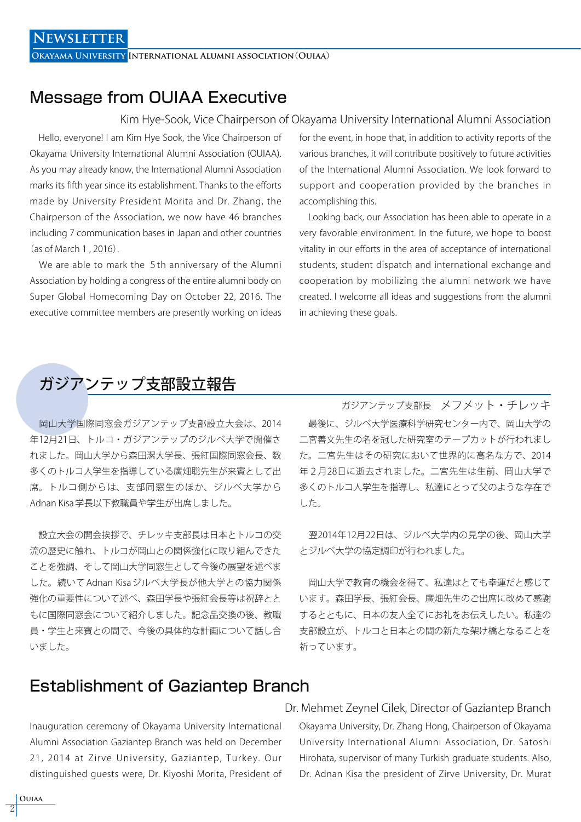### Message from OUIAA Executive

Kim Hye-Sook, Vice Chairperson of Okayama University International Alumni Association

 Hello, everyone! I am Kim Hye Sook, the Vice Chairperson of Okayama University International Alumni Association (OUIAA). As you may already know, the International Alumni Association marks its fifth year since its establishment. Thanks to the efforts made by University President Morita and Dr. Zhang, the Chairperson of the Association, we now have 46 branches including 7 communication bases in Japan and other countries (as of March 1 , 2016).

 We are able to mark the 5th anniversary of the Alumni Association by holding a congress of the entire alumni body on Super Global Homecoming Day on October 22, 2016. The executive committee members are presently working on ideas

for the event, in hope that, in addition to activity reports of the various branches, it will contribute positively to future activities of the International Alumni Association. We look forward to support and cooperation provided by the branches in accomplishing this.

 Looking back, our Association has been able to operate in a very favorable environment. In the future, we hope to boost vitality in our efforts in the area of acceptance of international students, student dispatch and international exchange and cooperation by mobilizing the alumni network we have created. I welcome all ideas and suggestions from the alumni in achieving these goals.

### ガジアンテップ支部設立報告

 岡山大学国際同窓会ガジアンテップ支部設立大会は、2014 年12月21日、トルコ・ガジアンテップのジルベ大学で開催さ れました。岡山大学から森田潔大学長、張紅国際同窓会長、数 多くのトルコ人学生を指導している廣畑聡先生が来賓として出 席。トルコ側からは、支部同窓生のほか、ジルベ大学から Adnan Kisa 学長以下教職員や学生が出席しました。

 設立大会の開会挨拶で、チレッキ支部長は日本とトルコの交 流の歴史に触れ、トルコが岡山との関係強化に取り組んできた ことを強調、そして岡山大学同窓生として今後の展望を述べま した。続いて Adnan Kisa ジルベ大学長が他大学との協力関係 強化の重要性について述べ、森田学長や張紅会長等は祝辞とと もに国際同窓会について紹介しました。記念品交換の後、教職 員・学生と来賓との間で、今後の具体的な計画について話し合 いました。

 最後に、ジルベ大学医療科学研究センター内で、岡山大学の 二宮善文先生の名を冠した研究室のテープカットが行われまし た。二宮先生はその研究において世界的に高名な方で、2014 年2月28日に逝去されました。二宮先生は生前、岡山大学で 多くのトルコ人学生を指導し、私達にとって父のような存在で した。 ガジアンテップ支部長 メフメット・チレッキ

 翌2014年12月22日は、ジルベ大学内の見学の後、岡山大学 とジルベ大学の協定調印が行われました。

 岡山大学で教育の機会を得て、私達はとても幸運だと感じて います。森田学長、張紅会長、廣畑先生のご出席に改めて感謝 するとともに、日本の友人全てにお礼をお伝えしたい。私達の 支部設立が、トルコと日本との間の新たな架け橋となることを 祈っています。

### Establishment of Gaziantep Branch

Inauguration ceremony of Okayama University International Alumni Association Gaziantep Branch was held on December 21, 2014 at Zirve University, Gaziantep, Turkey. Our distinguished guests were, Dr. Kiyoshi Morita, President of

Okayama University, Dr. Zhang Hong, Chairperson of Okayama University International Alumni Association, Dr. Satoshi Hirohata, supervisor of many Turkish graduate students. Also, Dr. Adnan Kisa the president of Zirve University, Dr. Murat Dr. Mehmet Zeynel Cilek, Director of Gaziantep Branch

**Ouiaa** 2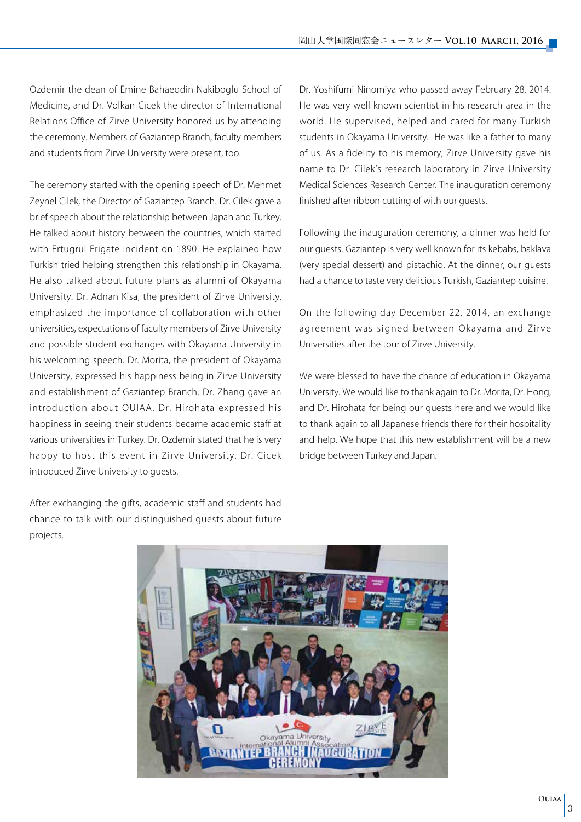Ozdemir the dean of Emine Bahaeddin Nakiboglu School of Medicine, and Dr. Volkan Cicek the director of International Relations Office of Zirve University honored us by attending the ceremony. Members of Gaziantep Branch, faculty members and students from Zirve University were present, too.

The ceremony started with the opening speech of Dr. Mehmet Zeynel Cilek, the Director of Gaziantep Branch. Dr. Cilek gave a brief speech about the relationship between Japan and Turkey. He talked about history between the countries, which started with Ertugrul Frigate incident on 1890. He explained how Turkish tried helping strengthen this relationship in Okayama. He also talked about future plans as alumni of Okayama University. Dr. Adnan Kisa, the president of Zirve University, emphasized the importance of collaboration with other universities, expectations of faculty members of Zirve University and possible student exchanges with Okayama University in his welcoming speech. Dr. Morita, the president of Okayama University, expressed his happiness being in Zirve University and establishment of Gaziantep Branch. Dr. Zhang gave an introduction about OUIAA. Dr. Hirohata expressed his happiness in seeing their students became academic staff at various universities in Turkey. Dr. Ozdemir stated that he is very happy to host this event in Zirve University. Dr. Cicek introduced Zirve University to guests.

After exchanging the gifts, academic staff and students had chance to talk with our distinguished guests about future projects.

Dr. Yoshifumi Ninomiya who passed away February 28, 2014. He was very well known scientist in his research area in the world. He supervised, helped and cared for many Turkish students in Okayama University. He was like a father to many of us. As a fidelity to his memory, Zirve University gave his name to Dr. Cilek's research laboratory in Zirve University Medical Sciences Research Center. The inauguration ceremony finished after ribbon cutting of with our guests.

Following the inauguration ceremony, a dinner was held for our guests. Gaziantep is very well known for its kebabs, baklava (very special dessert) and pistachio. At the dinner, our guests had a chance to taste very delicious Turkish, Gaziantep cuisine.

On the following day December 22, 2014, an exchange agreement was signed between Okayama and Zirve Universities after the tour of Zirve University.

We were blessed to have the chance of education in Okayama University. We would like to thank again to Dr. Morita, Dr. Hong, and Dr. Hirohata for being our guests here and we would like to thank again to all Japanese friends there for their hospitality and help. We hope that this new establishment will be a new bridge between Turkey and Japan.

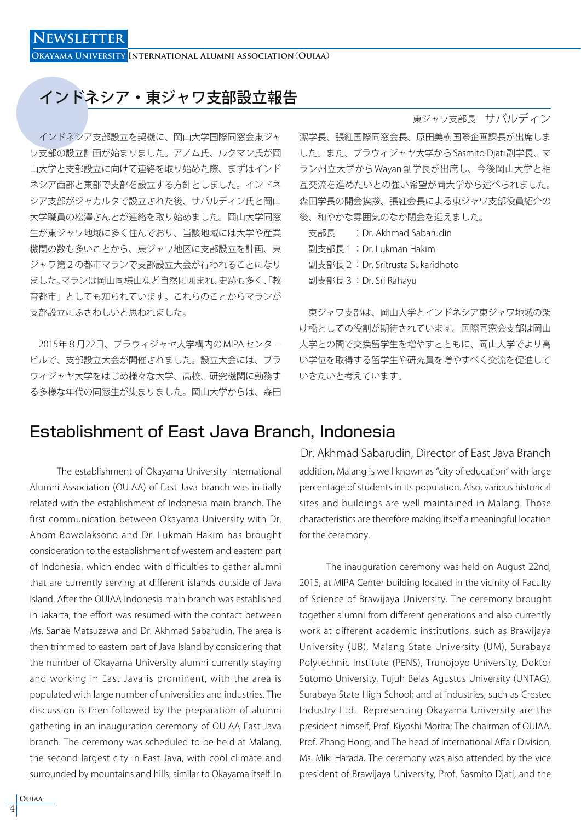### インドネシア・東ジャワ支部設立報告

 インドネシア支部設立を契機に、岡山大学国際同窓会東ジャ ワ支部の設立計画が始まりました。アノム氏、ルクマン氏が岡 山大学と支部設立に向けて連絡を取り始めた際、まずはインド ネシア西部と東部で支部を設立する方針としました。インドネ シア支部がジャカルタで設立された後、サバルディン氏と岡山 大学職員の松澤さんとが連絡を取り始めました。岡山大学同窓 生が東ジャワ地域に多く住んでおり、当該地域には大学や産業 機関の数も多いことから、東ジャワ地区に支部設立を計画、東 ジャワ第2の都市マランで支部設立大会が行われることになり ました。マランは岡山同様山など自然に囲まれ、史跡も多く、「教 育都市」としても知られています。これらのことからマランが 支部設立にふさわしいと思われました。

 2015年8月22日、ブラウィジャヤ大学構内の MIPA センター ビルで、支部設立大会が開催されました。設立大会には、ブラ ウィジャヤ大学をはじめ様々な大学、高校、研究機関に勤務す る多様な年代の同窓生が集まりました。岡山大学からは、森田

#### 東ジャワ支部長 サバルディン

潔学長、張紅国際同窓会長、原田美樹国際企画課長が出席しま した。また、ブラウィジャヤ大学から Sasmito Djati 副学長、マ ラン州立大学から Wayan 副学長が出席し、今後岡山大学と相 互交流を進めたいとの強い希望が両大学から述べられました。 森田学長の開会挨拶、張紅会長による東ジャワ支部役員紹介の 後、和やかな雰囲気のなか閉会を迎えました。

| 支部長 | : Dr. Akhmad Sabarudin            |
|-----|-----------------------------------|
|     | 副支部長 1: Dr. Lukman Hakim          |
|     | 副支部長 2: Dr. Sritrusta Sukaridhoto |
|     | 副支部長 3 : Dr. Sri Rahayu           |
|     |                                   |

 東ジャワ支部は、岡山大学とインドネシア東ジャワ地域の架 け橋としての役割が期待されています。国際同窓会支部は岡山 大学との間で交換留学生を増やすとともに、岡山大学でより高 い学位を取得する留学生や研究員を増やすべく交流を促進して いきたいと考えています。

### Establishment of East Java Branch, Indonesia

 The establishment of Okayama University International Alumni Association (OUIAA) of East Java branch was initially related with the establishment of Indonesia main branch. The first communication between Okayama University with Dr. Anom Bowolaksono and Dr. Lukman Hakim has brought consideration to the establishment of western and eastern part of Indonesia, which ended with difficulties to gather alumni that are currently serving at different islands outside of Java Island. After the OUIAA Indonesia main branch was established in Jakarta, the effort was resumed with the contact between Ms. Sanae Matsuzawa and Dr. Akhmad Sabarudin. The area is then trimmed to eastern part of Java Island by considering that the number of Okayama University alumni currently staying and working in East Java is prominent, with the area is populated with large number of universities and industries. The discussion is then followed by the preparation of alumni gathering in an inauguration ceremony of OUIAA East Java branch. The ceremony was scheduled to be held at Malang, the second largest city in East Java, with cool climate and surrounded by mountains and hills, similar to Okayama itself. In

addition, Malang is well known as "city of education" with large percentage of students in its population. Also, various historical sites and buildings are well maintained in Malang. Those characteristics are therefore making itself a meaningful location for the ceremony. Dr. Akhmad Sabarudin, Director of East Java Branch

 The inauguration ceremony was held on August 22nd, 2015, at MIPA Center building located in the vicinity of Faculty of Science of Brawijaya University. The ceremony brought together alumni from different generations and also currently work at different academic institutions, such as Brawijaya University (UB), Malang State University (UM), Surabaya Polytechnic Institute (PENS), Trunojoyo University, Doktor Sutomo University, Tujuh Belas Agustus University (UNTAG), Surabaya State High School; and at industries, such as Crestec Industry Ltd. Representing Okayama University are the president himself, Prof. Kiyoshi Morita; The chairman of OUIAA, Prof. Zhang Hong; and The head of International Affair Division, Ms. Miki Harada. The ceremony was also attended by the vice president of Brawijaya University, Prof. Sasmito Djati, and the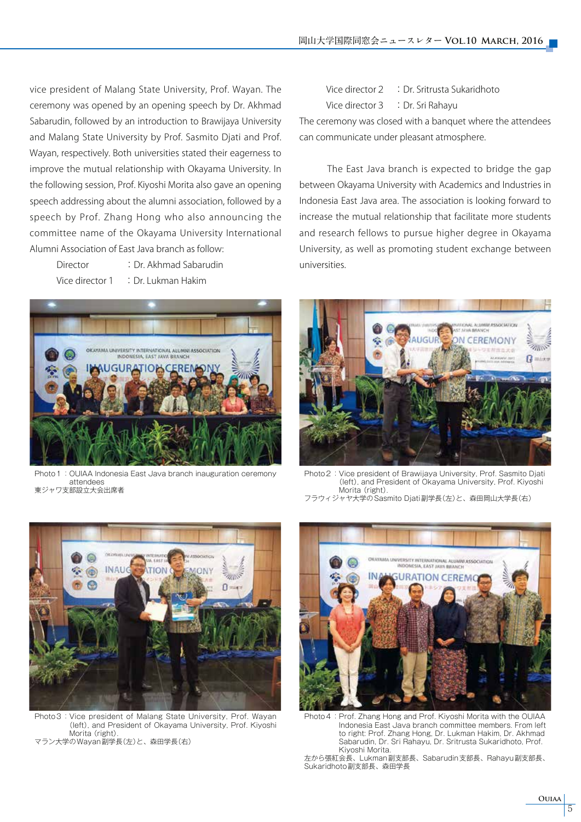vice president of Malang State University, Prof. Wayan. The ceremony was opened by an opening speech by Dr. Akhmad Sabarudin, followed by an introduction to Brawijaya University and Malang State University by Prof. Sasmito Djati and Prof. Wayan, respectively. Both universities stated their eagerness to improve the mutual relationship with Okayama University. In the following session, Prof. Kiyoshi Morita also gave an opening speech addressing about the alumni association, followed by a speech by Prof. Zhang Hong who also announcing the committee name of the Okayama University International Alumni Association of East Java branch as follow:

 Director :Dr. Akhmad Sabarudin Vice director 1 : Dr. Lukman Hakim



Photo 1: OUIAA Indonesia East Java branch inauguration ceremony attendees 東ジャワ支部設立大会出席者

Vice director 2 : Dr. Sritrusta Sukaridhoto Vice director 3 : Dr. Sri Rahayu The ceremony was closed with a banquet where the attendees can communicate under pleasant atmosphere.

 The East Java branch is expected to bridge the gap between Okayama University with Academics and Industries in Indonesia East Java area. The association is looking forward to increase the mutual relationship that facilitate more students and research fellows to pursue higher degree in Okayama University, as well as promoting student exchange between universities.



Photo2: Vice president of Brawijaya University, Prof. Sasmito Djati (left), and President of Okayama University, Prof. Kiyoshi Morita (right). フラウィジャヤ大学のSasmito Djati副学長(左)と、森田岡山大学長(右)



Photo3: Vice president of Malang State University, Prof. Wayan (left), and President of Okayama University, Prof. Kiyoshi Morita (right) マラン大学のWayan副学長(左)と、森田学長(右)



Photo 4: Prof. Zhang Hong and Prof. Kiyoshi Morita with the OUIAA Indonesia East Java branch committee members. From left to right: Prof. Zhang Hong, Dr. Lukman Hakim, Dr. Akhmad Sabarudin, Dr. Sri Rahayu, Dr. Sritrusta Sukaridhoto, Prof. Kiyoshi Morita.

左から張紅会長、Lukman副支部長、Sabarudin支部長、Rahayu副支部長、 Sukaridhoto副支部長、森田学長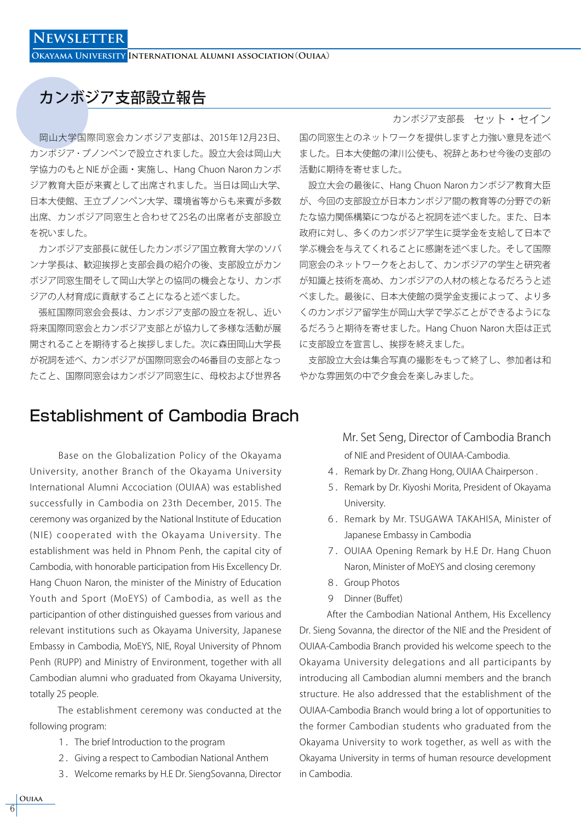### カンボジア支部設立報告

 岡山大学国際同窓会カンボジア支部は、2015年12月23日、 カンボジア・プノンペンで設立されました。設立大会は岡山大 学協力のもと NIE が企画・実施し、Hang Chuon Naron カンボ ジア教育大臣が来賓として出席されました。当日は岡山大学、 日本大使館、王立プノンペン大学、環境省等からも来賓が多数 出席、カンボジア同窓生と合わせて25名の出席者が支部設立 を祝いました。

 カンボジア支部長に就任したカンボジア国立教育大学のソバ ンナ学長は、歓迎挨拶と支部会員の紹介の後、支部設立がカン ボジア同窓生間そして岡山大学との協同の機会となり、カンボ ジアの人材育成に貢献することになると述べました。

 張紅国際同窓会会長は、カンボジア支部の設立を祝し、近い 将来国際同窓会とカンボジア支部とが協力して多様な活動が展 開されることを期待すると挨拶しました。次に森田岡山大学長 が祝詞を述べ、カンボジアが国際同窓会の46番目の支部となっ たこと、国際同窓会はカンボジア同窓生に、母校および世界各

### Establishment of Cambodia Brach

 Base on the Globalization Policy of the Okayama University, another Branch of the Okayama University International Alumni Accociation (OUIAA) was established successfully in Cambodia on 23th December, 2015. The ceremony was organized by the National Institute of Education (NIE) cooperated with the Okayama University. The establishment was held in Phnom Penh, the capital city of Cambodia, with honorable participation from His Excellency Dr. Hang Chuon Naron, the minister of the Ministry of Education Youth and Sport (MoEYS) of Cambodia, as well as the participantion of other distinguished guesses from various and relevant institutions such as Okayama University, Japanese Embassy in Cambodia, MoEYS, NIE, Royal University of Phnom Penh (RUPP) and Ministry of Environment, together with all Cambodian alumni who graduated from Okayama University, totally 25 people.

 The establishment ceremony was conducted at the following program:

- 1.The brief Introduction to the program
- 2.Giving a respect to Cambodian National Anthem
- 3.Welcome remarks by H.E Dr. SiengSovanna, Director

### カンボジア支部長 セット・セイン

国の同窓生とのネットワークを提供しますと力強い意見を述べ ました。日本大使館の津川公使も、祝辞とあわせ今後の支部の 活動に期待を寄せました。

 設立大会の最後に、Hang Chuon Naron カンボジア教育大臣 が、今回の支部設立が日本カンボジア間の教育等の分野での新 たな協力関係構築につながると祝詞を述べました。また、日本 政府に対し、多くのカンボジア学生に奨学金を支給して日本で 学ぶ機会を与えてくれることに感謝を述べました。そして国際 同窓会のネットワークをとおして、カンボジアの学生と研究者 が知識と技術を高め、カンボジアの人材の核となるだろうと述 べました。最後に、日本大使館の奨学金支援によって、より多 くのカンボジア留学生が岡山大学で学ぶことができるようにな るだろうと期待を寄せました。Hang Chuon Naron 大臣は正式 に支部設立を宣言し、挨拶を終えました。

 支部設立大会は集合写真の撮影をもって終了し、参加者は和 やかな雰囲気の中で夕食会を楽しみました。

> of NIE and President of OUIAA-Cambodia. Mr. Set Seng, Director of Cambodia Branch

- 4. Remark by Dr. Zhang Hong, OUIAA Chairperson.
- 5. Remark by Dr. Kiyoshi Morita, President of Okayama University.
- 6.Remark by Mr. TSUGAWA TAKAHISA, Minister of Japanese Embassy in Cambodia
- 7.OUIAA Opening Remark by H.E Dr. Hang Chuon Naron, Minister of MoEYS and closing ceremony
- 8. Group Photos
- 9 Dinner (Buffet)

 After the Cambodian National Anthem, His Excellency Dr. Sieng Sovanna, the director of the NIE and the President of OUIAA-Cambodia Branch provided his welcome speech to the Okayama University delegations and all participants by introducing all Cambodian alumni members and the branch structure. He also addressed that the establishment of the OUIAA-Cambodia Branch would bring a lot of opportunities to the former Cambodian students who graduated from the Okayama University to work together, as well as with the Okayama University in terms of human resource development in Cambodia.

**Ouiaa** 6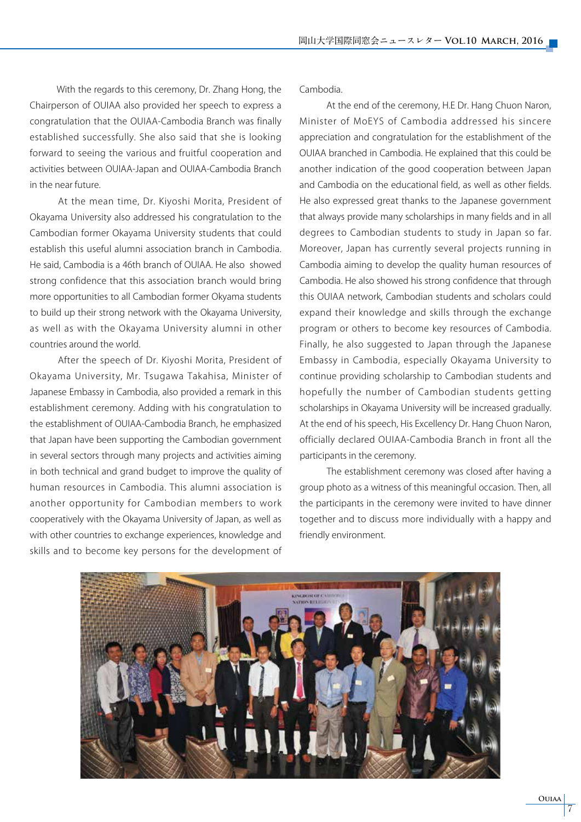With the regards to this ceremony, Dr. Zhang Hong, the Chairperson of OUIAA also provided her speech to express a congratulation that the OUIAA-Cambodia Branch was finally established successfully. She also said that she is looking forward to seeing the various and fruitful cooperation and activities between OUIAA-Japan and OUIAA-Cambodia Branch in the near future.

 At the mean time, Dr. Kiyoshi Morita, President of Okayama University also addressed his congratulation to the Cambodian former Okayama University students that could establish this useful alumni association branch in Cambodia. He said, Cambodia is a 46th branch of OUIAA. He also showed strong confidence that this association branch would bring more opportunities to all Cambodian former Okyama students to build up their strong network with the Okayama University, as well as with the Okayama University alumni in other countries around the world.

 After the speech of Dr. Kiyoshi Morita, President of Okayama University, Mr. Tsugawa Takahisa, Minister of Japanese Embassy in Cambodia, also provided a remark in this establishment ceremony. Adding with his congratulation to the establishment of OUIAA-Cambodia Branch, he emphasized that Japan have been supporting the Cambodian government in several sectors through many projects and activities aiming in both technical and grand budget to improve the quality of human resources in Cambodia. This alumni association is another opportunity for Cambodian members to work cooperatively with the Okayama University of Japan, as well as with other countries to exchange experiences, knowledge and skills and to become key persons for the development of Cambodia.

 At the end of the ceremony, H.E Dr. Hang Chuon Naron, Minister of MoEYS of Cambodia addressed his sincere appreciation and congratulation for the establishment of the OUIAA branched in Cambodia. He explained that this could be another indication of the good cooperation between Japan and Cambodia on the educational field, as well as other fields. He also expressed great thanks to the Japanese government that always provide many scholarships in many fields and in all degrees to Cambodian students to study in Japan so far. Moreover, Japan has currently several projects running in Cambodia aiming to develop the quality human resources of Cambodia. He also showed his strong confidence that through this OUIAA network, Cambodian students and scholars could expand their knowledge and skills through the exchange program or others to become key resources of Cambodia. Finally, he also suggested to Japan through the Japanese Embassy in Cambodia, especially Okayama University to continue providing scholarship to Cambodian students and hopefully the number of Cambodian students getting scholarships in Okayama University will be increased gradually. At the end of his speech, His Excellency Dr. Hang Chuon Naron, officially declared OUIAA-Cambodia Branch in front all the participants in the ceremony.

 The establishment ceremony was closed after having a group photo as a witness of this meaningful occasion. Then, all the participants in the ceremony were invited to have dinner together and to discuss more individually with a happy and friendly environment.